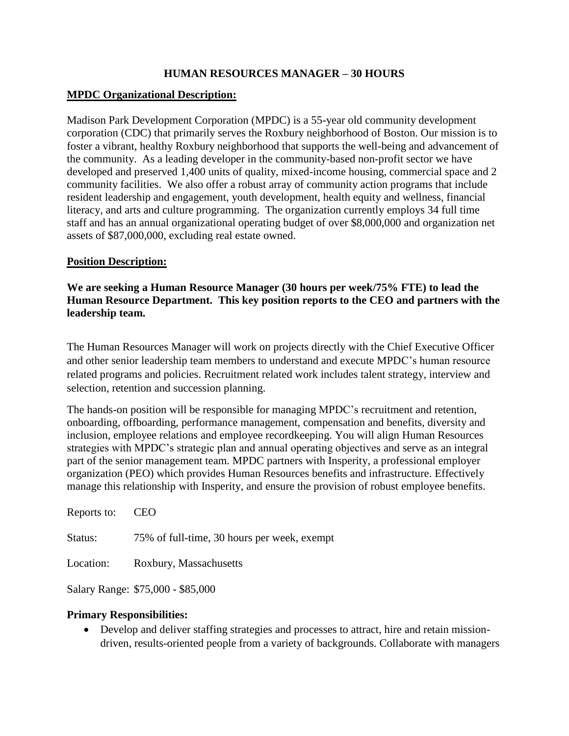### **HUMAN RESOURCES MANAGER – 30 HOURS**

### **MPDC Organizational Description:**

Madison Park Development Corporation (MPDC) is a 55-year old community development corporation (CDC) that primarily serves the Roxbury neighborhood of Boston. Our mission is to foster a vibrant, healthy Roxbury neighborhood that supports the well-being and advancement of the community. As a leading developer in the community-based non-profit sector we have developed and preserved 1,400 units of quality, mixed-income housing, commercial space and 2 community facilities. We also offer a robust array of community action programs that include resident leadership and engagement, youth development, health equity and wellness, financial literacy, and arts and culture programming. The organization currently employs 34 full time staff and has an annual organizational operating budget of over \$8,000,000 and organization net assets of \$87,000,000, excluding real estate owned.

#### **Position Description:**

#### **We are seeking a Human Resource Manager (30 hours per week/75% FTE) to lead the Human Resource Department. This key position reports to the CEO and partners with the leadership team.**

The Human Resources Manager will work on projects directly with the Chief Executive Officer and other senior leadership team members to understand and execute MPDC's human resource related programs and policies. Recruitment related work includes talent strategy, interview and selection, retention and succession planning.

The hands-on position will be responsible for managing MPDC's recruitment and retention, onboarding, offboarding, performance management, compensation and benefits, diversity and inclusion, employee relations and employee recordkeeping. You will align Human Resources strategies with MPDC's strategic plan and annual operating objectives and serve as an integral part of the senior management team. MPDC partners with Insperity, a professional employer organization (PEO) which provides Human Resources benefits and infrastructure. Effectively manage this relationship with Insperity, and ensure the provision of robust employee benefits.

| Reports to: | CEO                                         |
|-------------|---------------------------------------------|
| Status:     | 75% of full-time, 30 hours per week, exempt |
| Location:   | Roxbury, Massachusetts                      |

Salary Range: \$75,000 - \$85,000

### **Primary Responsibilities:**

 Develop and deliver staffing strategies and processes to attract, hire and retain missiondriven, results-oriented people from a variety of backgrounds. Collaborate with managers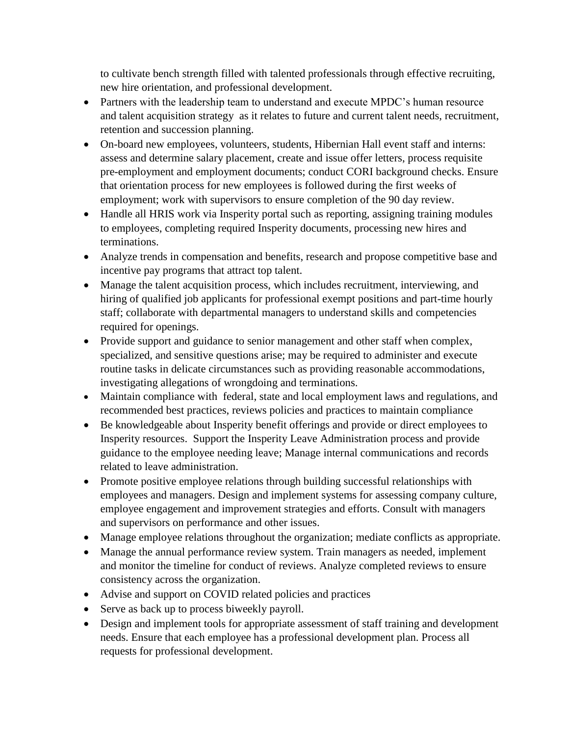to cultivate bench strength filled with talented professionals through effective recruiting, new hire orientation, and professional development.

- Partners with the leadership team to understand and execute MPDC's human resource and talent acquisition strategy as it relates to future and current talent needs, recruitment, retention and succession planning.
- On-board new employees, volunteers, students, Hibernian Hall event staff and interns: assess and determine salary placement, create and issue offer letters, process requisite pre-employment and employment documents; conduct CORI background checks. Ensure that orientation process for new employees is followed during the first weeks of employment; work with supervisors to ensure completion of the 90 day review.
- Handle all HRIS work via Insperity portal such as reporting, assigning training modules to employees, completing required Insperity documents, processing new hires and terminations.
- Analyze trends in compensation and benefits, research and propose competitive base and incentive pay programs that attract top talent.
- Manage the talent acquisition process, which includes recruitment, interviewing, and hiring of qualified job applicants for professional exempt positions and part-time hourly staff; collaborate with departmental managers to understand skills and competencies required for openings.
- Provide support and guidance to senior management and other staff when complex, specialized, and sensitive questions arise; may be required to administer and execute routine tasks in delicate circumstances such as providing reasonable accommodations, investigating allegations of wrongdoing and terminations.
- Maintain compliance with federal, state and local employment laws and regulations, and recommended best practices, reviews policies and practices to maintain compliance
- Be knowledgeable about Insperity benefit offerings and provide or direct employees to Insperity resources. Support the Insperity Leave Administration process and provide guidance to the employee needing leave; Manage internal communications and records related to leave administration.
- Promote positive employee relations through building successful relationships with employees and managers. Design and implement systems for assessing company culture, employee engagement and improvement strategies and efforts. Consult with managers and supervisors on performance and other issues.
- Manage employee relations throughout the organization; mediate conflicts as appropriate.
- Manage the annual performance review system. Train managers as needed, implement and monitor the timeline for conduct of reviews. Analyze completed reviews to ensure consistency across the organization.
- Advise and support on COVID related policies and practices
- Serve as back up to process biweekly payroll.
- Design and implement tools for appropriate assessment of staff training and development needs. Ensure that each employee has a professional development plan. Process all requests for professional development.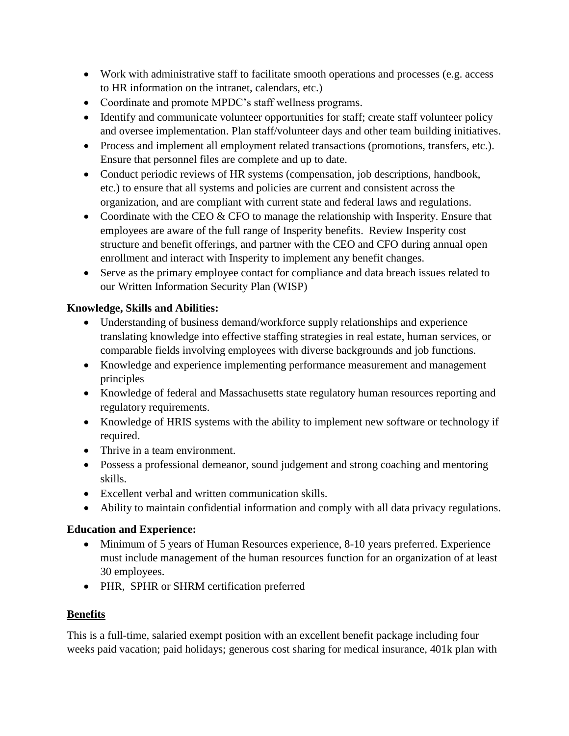- Work with administrative staff to facilitate smooth operations and processes (e.g. access to HR information on the intranet, calendars, etc.)
- Coordinate and promote MPDC's staff wellness programs.
- Identify and communicate volunteer opportunities for staff; create staff volunteer policy and oversee implementation. Plan staff/volunteer days and other team building initiatives.
- Process and implement all employment related transactions (promotions, transfers, etc.). Ensure that personnel files are complete and up to date.
- Conduct periodic reviews of HR systems (compensation, job descriptions, handbook, etc.) to ensure that all systems and policies are current and consistent across the organization, and are compliant with current state and federal laws and regulations.
- Coordinate with the CEO  $&$  CFO to manage the relationship with Insperity. Ensure that employees are aware of the full range of Insperity benefits. Review Insperity cost structure and benefit offerings, and partner with the CEO and CFO during annual open enrollment and interact with Insperity to implement any benefit changes.
- Serve as the primary employee contact for compliance and data breach issues related to our Written Information Security Plan (WISP)

## **Knowledge, Skills and Abilities:**

- Understanding of business demand/workforce supply relationships and experience translating knowledge into effective staffing strategies in real estate, human services, or comparable fields involving employees with diverse backgrounds and job functions.
- Knowledge and experience implementing performance measurement and management principles
- Knowledge of federal and Massachusetts state regulatory human resources reporting and regulatory requirements.
- Knowledge of HRIS systems with the ability to implement new software or technology if required.
- Thrive in a team environment.
- Possess a professional demeanor, sound judgement and strong coaching and mentoring skills.
- Excellent verbal and written communication skills.
- Ability to maintain confidential information and comply with all data privacy regulations.

# **Education and Experience:**

- Minimum of 5 years of Human Resources experience, 8-10 years preferred. Experience must include management of the human resources function for an organization of at least 30 employees.
- PHR, SPHR or SHRM certification preferred

# **Benefits**

This is a full-time, salaried exempt position with an excellent benefit package including four weeks paid vacation; paid holidays; generous cost sharing for medical insurance, 401k plan with